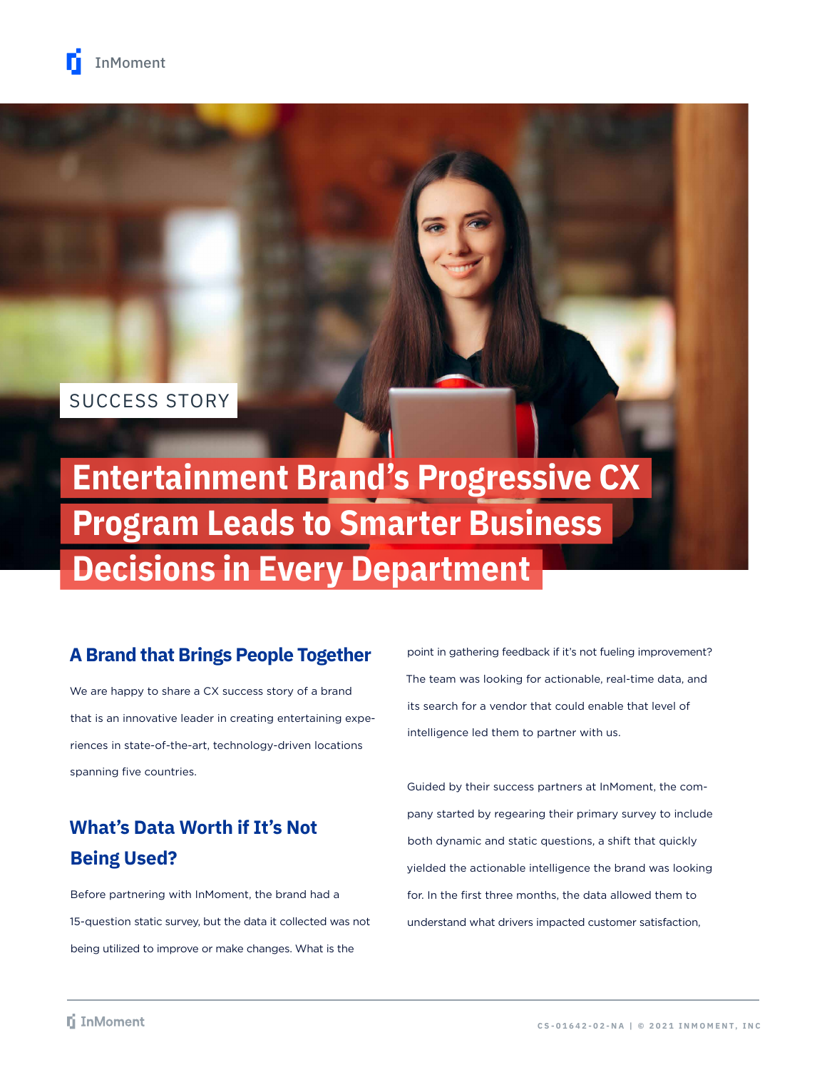### SUCCESS STORY

# **Entertainment Brand's Progressive CX Program Leads to Smarter Business Decisions in Every Department**

### **A Brand that Brings People Together**

We are happy to share a CX success story of a brand that is an innovative leader in creating entertaining experiences in state-of-the-art, technology-driven locations spanning five countries.

## **What's Data Worth if It's Not Being Used?**

Before partnering with InMoment, the brand had a 15-question static survey, but the data it collected was not being utilized to improve or make changes. What is the

point in gathering feedback if it's not fueling improvement? The team was looking for actionable, real-time data, and its search for a vendor that could enable that level of intelligence led them to partner with us.

Guided by their success partners at InMoment, the company started by regearing their primary survey to include both dynamic and static questions, a shift that quickly yielded the actionable intelligence the brand was looking for. In the first three months, the data allowed them to understand what drivers impacted customer satisfaction,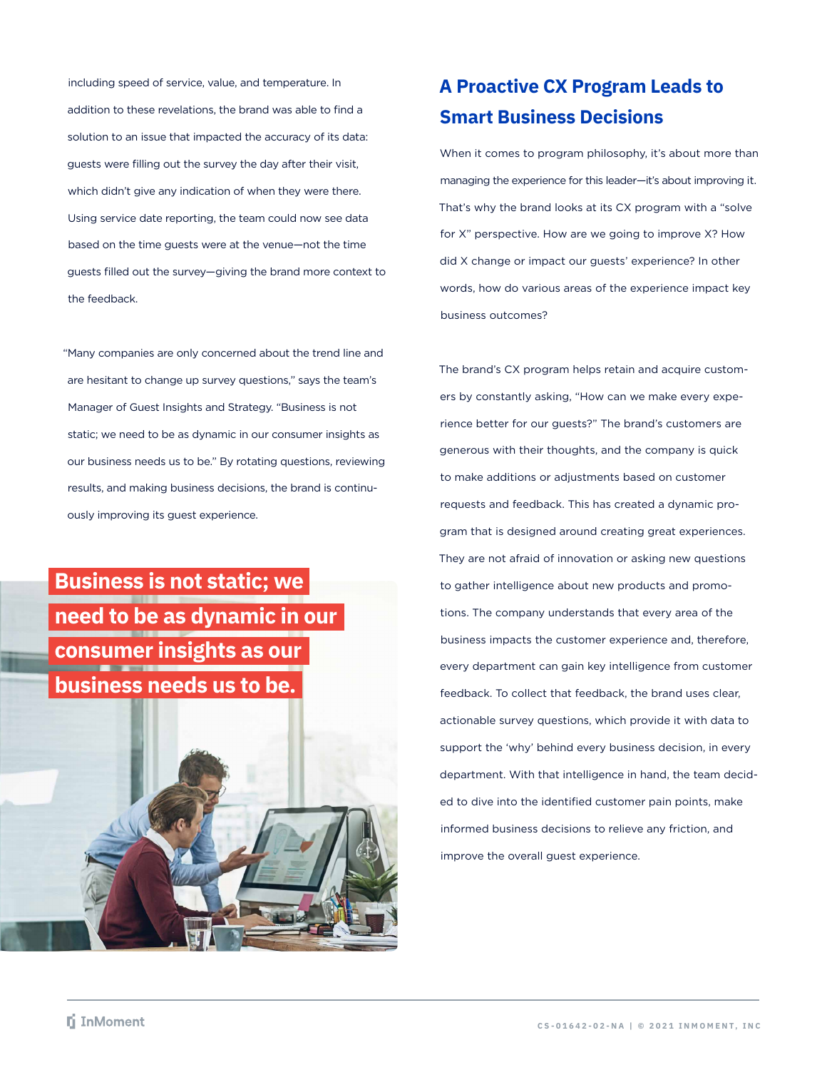including speed of service, value, and temperature. In addition to these revelations, the brand was able to find a solution to an issue that impacted the accuracy of its data: guests were filling out the survey the day after their visit, which didn't give any indication of when they were there. Using service date reporting, the team could now see data based on the time guests were at the venue—not the time guests filled out the survey—giving the brand more context to the feedback.

"Many companies are only concerned about the trend line and are hesitant to change up survey questions," says the team's Manager of Guest Insights and Strategy. "Business is not static; we need to be as dynamic in our consumer insights as our business needs us to be." By rotating questions, reviewing results, and making business decisions, the brand is continuously improving its guest experience.

# **Business is not static; we need to be as dynamic in our consumer insights as our business needs us to be.**



### **A Proactive CX Program Leads to Smart Business Decisions**

When it comes to program philosophy, it's about more than managing the experience for this leader—it's about improving it. That's why the brand looks at its CX program with a "solve for X" perspective. How are we going to improve X? How did X change or impact our guests' experience? In other words, how do various areas of the experience impact key business outcomes?

The brand's CX program helps retain and acquire customers by constantly asking, "How can we make every experience better for our guests?" The brand's customers are generous with their thoughts, and the company is quick to make additions or adjustments based on customer requests and feedback. This has created a dynamic program that is designed around creating great experiences. They are not afraid of innovation or asking new questions to gather intelligence about new products and promotions. The company understands that every area of the business impacts the customer experience and, therefore, every department can gain key intelligence from customer feedback. To collect that feedback, the brand uses clear, actionable survey questions, which provide it with data to support the 'why' behind every business decision, in every department. With that intelligence in hand, the team decided to dive into the identified customer pain points, make informed business decisions to relieve any friction, and improve the overall guest experience.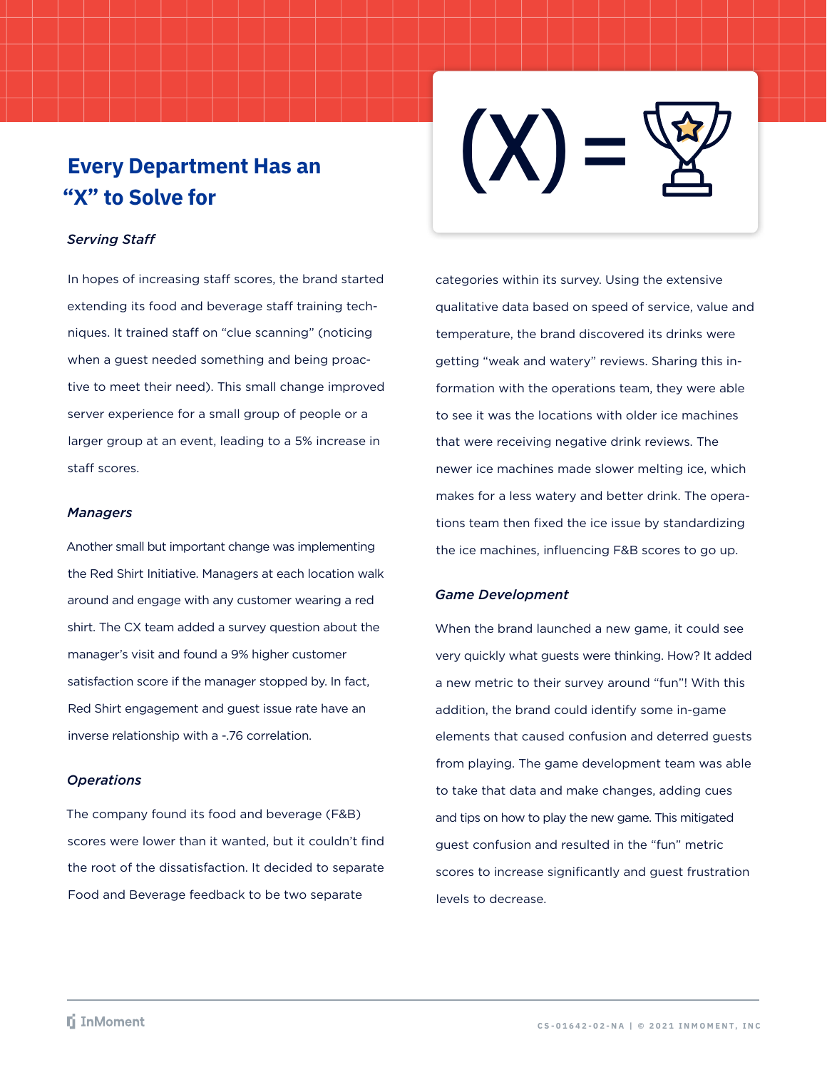# **Every Department Has an "X" to Solve for**

#### *Serving Staff*

In hopes of increasing staff scores, the brand started extending its food and beverage staff training techniques. It trained staff on "clue scanning" (noticing when a guest needed something and being proactive to meet their need). This small change improved server experience for a small group of people or a larger group at an event, leading to a 5% increase in staff scores.

#### *Managers*

Another small but important change was implementing the Red Shirt Initiative. Managers at each location walk around and engage with any customer wearing a red shirt. The CX team added a survey question about the manager's visit and found a 9% higher customer satisfaction score if the manager stopped by. In fact, Red Shirt engagement and guest issue rate have an inverse relationship with a -.76 correlation.

#### *Operations*

The company found its food and beverage (F&B) scores were lower than it wanted, but it couldn't find the root of the dissatisfaction. It decided to separate Food and Beverage feedback to be two separate



categories within its survey. Using the extensive qualitative data based on speed of service, value and temperature, the brand discovered its drinks were getting "weak and watery" reviews. Sharing this information with the operations team, they were able to see it was the locations with older ice machines that were receiving negative drink reviews. The newer ice machines made slower melting ice, which makes for a less watery and better drink. The operations team then fixed the ice issue by standardizing the ice machines, influencing F&B scores to go up.

#### *Game Development*

When the brand launched a new game, it could see very quickly what guests were thinking. How? It added a new metric to their survey around "fun"! With this addition, the brand could identify some in-game elements that caused confusion and deterred guests from playing. The game development team was able to take that data and make changes, adding cues and tips on how to play the new game. This mitigated guest confusion and resulted in the "fun" metric scores to increase significantly and guest frustration levels to decrease.